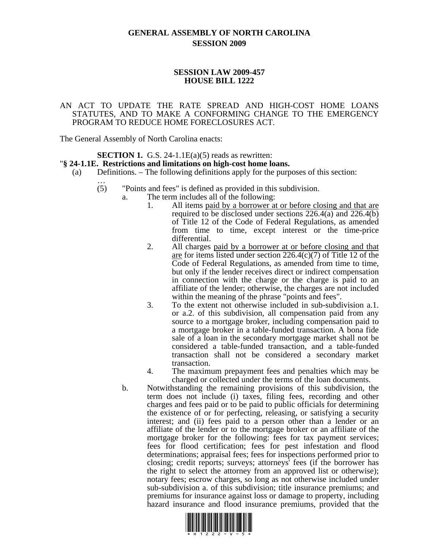# **GENERAL ASSEMBLY OF NORTH CAROLINA SESSION 2009**

## **SESSION LAW 2009-457 HOUSE BILL 1222**

### AN ACT TO UPDATE THE RATE SPREAD AND HIGH-COST HOME LOANS STATUTES, AND TO MAKE A CONFORMING CHANGE TO THE EMERGENCY PROGRAM TO REDUCE HOME FORECLOSURES ACT.

The General Assembly of North Carolina enacts:

# **SECTION 1.** G.S. 24-1.1E(a)(5) reads as rewritten: " $\S$  24-1.1E. Restrictions and limitations on high-cost home loans.

- $(a)$  Definitions. The following definitions apply for the purposes of this section:
	- (5) "Points and fees" is defined as provided in this subdivision.
		- a. The term includes all of the following:
			- 1. All items paid by a borrower at or before closing and that are required to be disclosed under sections 226.4(a) and 226.4(b) of Title 12 of the Code of Federal Regulations, as amended from time to time, except interest or the time-price differential.
			- 2. All charges paid by a borrower at or before closing and that are for items listed under section 226.4(c)(7) of Title 12 of the Code of Federal Regulations, as amended from time to time, but only if the lender receives direct or indirect compensation in connection with the charge or the charge is paid to an affiliate of the lender; otherwise, the charges are not included within the meaning of the phrase "points and fees".
			- 3. To the extent not otherwise included in sub-subdivision a.1. or a.2. of this subdivision, all compensation paid from any source to a mortgage broker, including compensation paid to a mortgage broker in a table-funded transaction. A bona fide sale of a loan in the secondary mortgage market shall not be considered a table-funded transaction, and a table-funded transaction shall not be considered a secondary market transaction.
			- 4. The maximum prepayment fees and penalties which may be charged or collected under the terms of the loan documents.
			- b. Notwithstanding the remaining provisions of this subdivision, the term does not include (i) taxes, filing fees, recording and other charges and fees paid or to be paid to public officials for determining the existence of or for perfecting, releasing, or satisfying a security interest; and (ii) fees paid to a person other than a lender or an affiliate of the lender or to the mortgage broker or an affiliate of the mortgage broker for the following: fees for tax payment services; fees for flood certification; fees for pest infestation and flood determinations; appraisal fees; fees for inspections performed prior to closing; credit reports; surveys; attorneys' fees (if the borrower has the right to select the attorney from an approved list or otherwise); notary fees; escrow charges, so long as not otherwise included under sub-subdivision a. of this subdivision; title insurance premiums; and premiums for insurance against loss or damage to property, including hazard insurance and flood insurance premiums, provided that the

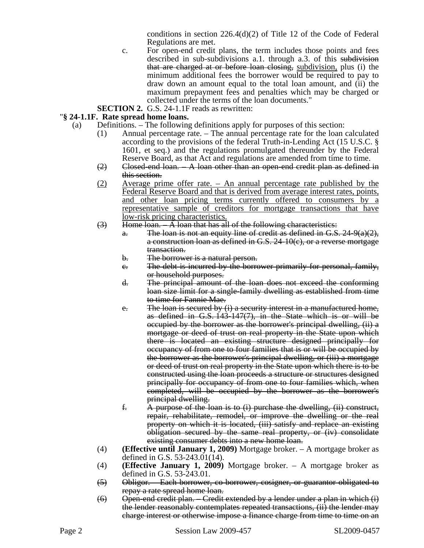conditions in section 226.4(d)(2) of Title 12 of the Code of Federal Regulations are met.

- c. For open-end credit plans, the term includes those points and fees described in sub-subdivisions a.1. through a.3. of this subdivision that are charged at or before loan closing, subdivision, plus (i) the minimum additional fees the borrower would be required to pay to draw down an amount equal to the total loan amount, and (ii) the maximum prepayment fees and penalties which may be charged or collected under the terms of the loan documents."
- **SECTION 2.** G.S. 24-1.1F reads as rewritten:

## "**§ 24-1.1F. Rate spread home loans.**

- (a) Definitions. The following definitions apply for purposes of this section:
	- (1) Annual percentage rate. The annual percentage rate for the loan calculated according to the provisions of the federal Truth-in-Lending Act (15 U.S.C. § 1601, et seq.) and the regulations promulgated thereunder by the Federal Reserve Board, as that Act and regulations are amended from time to time.
	- $(2)$  Closed-end loan.  $-A$  loan other than an open-end credit plan as defined in this section.
	- (2) Average prime offer rate. An annual percentage rate published by the Federal Reserve Board and that is derived from average interest rates, points, and other loan pricing terms currently offered to consumers by a representative sample of creditors for mortgage transactions that have low-risk pricing characteristics.
	- $(3)$  Home loan.  $-A$  loan that has all of the following characteristics:
		- a. The loan is not an equity line of credit as defined in G.S.  $24-9(a)(2)$ , a construction loan as defined in G.S. 24-10(c), or a reverse mortgage transaction.
		- b. The borrower is a natural person.
		- c. The debt is incurred by the borrower primarily for personal, family, or household purposes.
		- d. The principal amount of the loan does not exceed the conforming loan size limit for a single-family dwelling as established from time to time for Fannie Mae.
		- e. The loan is secured by  $(i)$  a security interest in a manufactured home, as defined in G.S. 143-147(7), in the State which is or will be occupied by the borrower as the borrower's principal dwelling, (ii) a mortgage or deed of trust on real property in the State upon which there is located an existing structure designed principally for occupancy of from one to four families that is or will be occupied by the borrower as the borrower's principal dwelling, or (iii) a mortgage or deed of trust on real property in the State upon which there is to be constructed using the loan proceeds a structure or structures designed principally for occupancy of from one to four families which, when completed, will be occupied by the borrower as the borrower's principal dwelling.
		- f. A purpose of the loan is to (i) purchase the dwelling, (ii) construct, repair, rehabilitate, remodel, or improve the dwelling or the real property on which it is located, (iii) satisfy and replace an existing obligation secured by the same real property, or (iv) consolidate existing consumer debts into a new home loan.
	- (4) **(Effective until January 1, 2009)** Mortgage broker. A mortgage broker as defined in G.S. 53-243.01(14).
	- (4) **(Effective January 1, 2009)** Mortgage broker. A mortgage broker as defined in G.S. 53-243.01.
	- (5) Obligor. Each borrower, co-borrower, cosigner, or guarantor obligated to repay a rate spread home loan.
	- $(6)$  Open-end credit plan. Credit extended by a lender under a plan in which  $(i)$ the lender reasonably contemplates repeated transactions, (ii) the lender may charge interest or otherwise impose a finance charge from time to time on an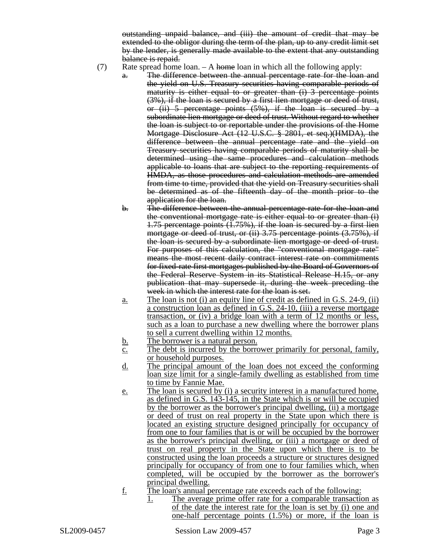outstanding unpaid balance, and (iii) the amount of credit that may be extended to the obligor during the term of the plan, up to any credit limit set by the lender, is generally made available to the extent that any outstanding balance is repaid.

- (7) Rate spread home loan.  $-A$  home loan in which all the following apply:
	- a. The difference between the annual percentage rate for the loan and the yield on U.S. Treasury securities having comparable periods of maturity is either equal to or greater than (i) 3 percentage points (3%), if the loan is secured by a first lien mortgage or deed of trust, or (ii) 5 percentage points (5%), if the loan is secured by a subordinate lien mortgage or deed of trust. Without regard to whether the loan is subject to or reportable under the provisions of the Home Mortgage Disclosure Act (12 U.S.C. § 2801, et seq.)(HMDA), the difference between the annual percentage rate and the yield on Treasury securities having comparable periods of maturity shall be determined using the same procedures and calculation methods applicable to loans that are subject to the reporting requirements of HMDA, as those procedures and calculation methods are amended from time to time, provided that the yield on Treasury securities shall be determined as of the fifteenth day of the month prior to the application for the loan.
	- b. The difference between the annual percentage rate for the loan and the conventional mortgage rate is either equal to or greater than (i) 1.75 percentage points (1.75%), if the loan is secured by a first lien mortgage or deed of trust, or (ii) 3.75 percentage points (3.75%), if the loan is secured by a subordinate lien mortgage or deed of trust. For purposes of this calculation, the "conventional mortgage rate" means the most recent daily contract interest rate on commitments for fixed-rate first mortgages published by the Board of Governors of the Federal Reserve System in its Statistical Release H.15, or any publication that may supersede it, during the week preceding the week in which the interest rate for the loan is set.
	- a. The loan is not (i) an equity line of credit as defined in G.S. 24-9, (ii) a construction loan as defined in G.S. 24-10, (iii) a reverse mortgage transaction, or (iv) a bridge loan with a term of 12 months or less, such as a loan to purchase a new dwelling where the borrower plans to sell a current dwelling within 12 months.
	- b. The borrower is a natural person.
	- c. The debt is incurred by the borrower primarily for personal, family, or household purposes.
	- d. The principal amount of the loan does not exceed the conforming loan size limit for a single-family dwelling as established from time to time by Fannie Mae.
	- e. The loan is secured by (i) a security interest in a manufactured home, as defined in G.S. 143-145, in the State which is or will be occupied by the borrower as the borrower's principal dwelling, (ii) a mortgage or deed of trust on real property in the State upon which there is located an existing structure designed principally for occupancy of from one to four families that is or will be occupied by the borrower as the borrower's principal dwelling, or (iii) a mortgage or deed of trust on real property in the State upon which there is to be constructed using the loan proceeds a structure or structures designed principally for occupancy of from one to four families which, when completed, will be occupied by the borrower as the borrower's principal dwelling.
	- f. The loan's annual percentage rate exceeds each of the following:
		- 1. The average prime offer rate for a comparable transaction as of the date the interest rate for the loan is set by (i) one and one-half percentage points (1.5%) or more, if the loan is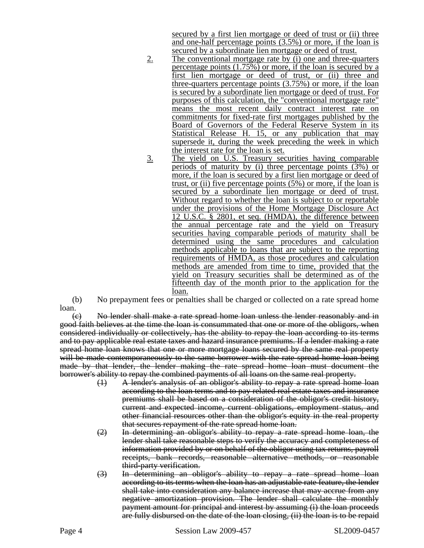secured by a first lien mortgage or deed of trust or (ii) three and one-half percentage points (3.5%) or more, if the loan is secured by a subordinate lien mortgage or deed of trust.

- 2. The conventional mortgage rate by (i) one and three-quarters percentage points (1.75%) or more, if the loan is secured by a first lien mortgage or deed of trust, or (ii) three and three-quarters percentage points (3.75%) or more, if the loan is secured by a subordinate lien mortgage or deed of trust. For purposes of this calculation, the "conventional mortgage rate" means the most recent daily contract interest rate on commitments for fixed-rate first mortgages published by the Board of Governors of the Federal Reserve System in its Statistical Release H. 15, or any publication that may supersede it, during the week preceding the week in which the interest rate for the loan is set.
- 3. The yield on U.S. Treasury securities having comparable periods of maturity by (i) three percentage points (3%) or more, if the loan is secured by a first lien mortgage or deed of trust, or (ii) five percentage points (5%) or more, if the loan is secured by a subordinate lien mortgage or deed of trust. Without regard to whether the loan is subject to or reportable under the provisions of the Home Mortgage Disclosure Act 12 U.S.C. § 2801, et seq. (HMDA), the difference between the annual percentage rate and the yield on Treasury securities having comparable periods of maturity shall be determined using the same procedures and calculation methods applicable to loans that are subject to the reporting requirements of HMDA, as those procedures and calculation methods are amended from time to time, provided that the yield on Treasury securities shall be determined as of the fifteenth day of the month prior to the application for the loan.

(b) No prepayment fees or penalties shall be charged or collected on a rate spread home loan.

(c) No lender shall make a rate spread home loan unless the lender reasonably and in good faith believes at the time the loan is consummated that one or more of the obligors, when considered individually or collectively, has the ability to repay the loan according to its terms and to pay applicable real estate taxes and hazard insurance premiums. If a lender making a rate spread home loan knows that one or more mortgage loans secured by the same real property will be made contemporaneously to the same borrower with the rate spread home loan being made by that lender, the lender making the rate spread home loan must document the borrower's ability to repay the combined payments of all loans on the same real property.

- (1) A lender's analysis of an obligor's ability to repay a rate spread home loan according to the loan terms and to pay related real estate taxes and insurance premiums shall be based on a consideration of the obligor's credit history, current and expected income, current obligations, employment status, and other financial resources other than the obligor's equity in the real property that secures repayment of the rate spread home loan.
- (2) In determining an obligor's ability to repay a rate spread home loan, the lender shall take reasonable steps to verify the accuracy and completeness of information provided by or on behalf of the obligor using tax returns, payroll receipts, bank records, reasonable alternative methods, or reasonable third-party verification.
- (3) In determining an obligor's ability to repay a rate spread home loan according to its terms when the loan has an adjustable rate feature, the lender shall take into consideration any balance increase that may accrue from any negative amortization provision. The lender shall calculate the monthly payment amount for principal and interest by assuming (i) the loan proceeds are fully disbursed on the date of the loan closing, (ii) the loan is to be repaid

Page 4 Session Law 2009-457 SL2009-0457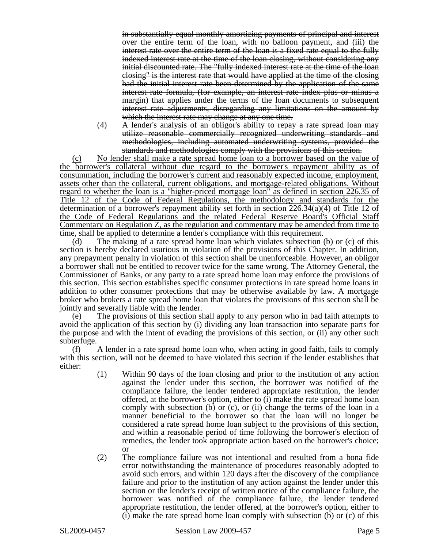in substantially equal monthly amortizing payments of principal and interest over the entire term of the loan, with no balloon payment, and (iii) the interest rate over the entire term of the loan is a fixed rate equal to the fully indexed interest rate at the time of the loan closing, without considering any initial discounted rate. The "fully indexed interest rate at the time of the loan closing" is the interest rate that would have applied at the time of the closing had the initial interest rate been determined by the application of the same interest rate formula, (for example, an interest rate index plus or minus a margin) that applies under the terms of the loan documents to subsequent interest rate adjustments, disregarding any limitations on the amount by which the interest rate may change at any one time.

(4) A lender's analysis of an obligor's ability to repay a rate spread loan may utilize reasonable commercially recognized underwriting standards and methodologies, including automated underwriting systems, provided the standards and methodologies comply with the provisions of this section.

(c) No lender shall make a rate spread home loan to a borrower based on the value of the borrower's collateral without due regard to the borrower's repayment ability as of consummation, including the borrower's current and reasonably expected income, employment, assets other than the collateral, current obligations, and mortgage-related obligations. Without regard to whether the loan is a "higher-priced mortgage loan" as defined in section 226.35 of Title 12 of the Code of Federal Regulations, the methodology and standards for the determination of a borrower's repayment ability set forth in section 226.34(a)(4) of Title 12 of the Code of Federal Regulations and the related Federal Reserve Board's Official Staff Commentary on Regulation Z, as the regulation and commentary may be amended from time to time, shall be applied to determine a lender's compliance with this requirement.

(d) The making of a rate spread home loan which violates subsection (b) or (c) of this section is hereby declared usurious in violation of the provisions of this Chapter. In addition, any prepayment penalty in violation of this section shall be unenforceable. However, an obligor a borrower shall not be entitled to recover twice for the same wrong. The Attorney General, the Commissioner of Banks, or any party to a rate spread home loan may enforce the provisions of this section. This section establishes specific consumer protections in rate spread home loans in addition to other consumer protections that may be otherwise available by law. A mortgage broker who brokers a rate spread home loan that violates the provisions of this section shall be jointly and severally liable with the lender.

(e) The provisions of this section shall apply to any person who in bad faith attempts to avoid the application of this section by (i) dividing any loan transaction into separate parts for the purpose and with the intent of evading the provisions of this section, or (ii) any other such subterfuge.

(f) A lender in a rate spread home loan who, when acting in good faith, fails to comply with this section, will not be deemed to have violated this section if the lender establishes that either:

- (1) Within 90 days of the loan closing and prior to the institution of any action against the lender under this section, the borrower was notified of the compliance failure, the lender tendered appropriate restitution, the lender offered, at the borrower's option, either to (i) make the rate spread home loan comply with subsection (b) or (c), or (ii) change the terms of the loan in a manner beneficial to the borrower so that the loan will no longer be considered a rate spread home loan subject to the provisions of this section, and within a reasonable period of time following the borrower's election of remedies, the lender took appropriate action based on the borrower's choice; or
- (2) The compliance failure was not intentional and resulted from a bona fide error notwithstanding the maintenance of procedures reasonably adopted to avoid such errors, and within 120 days after the discovery of the compliance failure and prior to the institution of any action against the lender under this section or the lender's receipt of written notice of the compliance failure, the borrower was notified of the compliance failure, the lender tendered appropriate restitution, the lender offered, at the borrower's option, either to (i) make the rate spread home loan comply with subsection (b) or (c) of this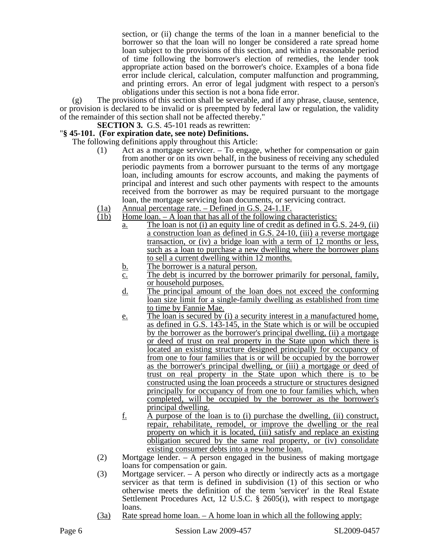section, or (ii) change the terms of the loan in a manner beneficial to the borrower so that the loan will no longer be considered a rate spread home loan subject to the provisions of this section, and within a reasonable period of time following the borrower's election of remedies, the lender took appropriate action based on the borrower's choice. Examples of a bona fide error include clerical, calculation, computer malfunction and programming, and printing errors. An error of legal judgment with respect to a person's obligations under this section is not a bona fide error.

(g) The provisions of this section shall be severable, and if any phrase, clause, sentence, or provision is declared to be invalid or is preempted by federal law or regulation, the validity of the remainder of this section shall not be affected thereby."

**SECTION 3.** G.S. 45-101 reads as rewritten:

## "**§ 45-101. (For expiration date, see note) Definitions.**

The following definitions apply throughout this Article:

- (1) Act as a mortgage servicer. To engage, whether for compensation or gain from another or on its own behalf, in the business of receiving any scheduled periodic payments from a borrower pursuant to the terms of any mortgage loan, including amounts for escrow accounts, and making the payments of principal and interest and such other payments with respect to the amounts received from the borrower as may be required pursuant to the mortgage loan, the mortgage servicing loan documents, or servicing contract.
- (1a) Annual percentage rate. Defined in G.S. 24-1.1F.<br>(1b) Home loan. A loan that has all of the following cl
- Home loan.  $A$  loan that has all of the following characteristics:
	- a. The loan is not (i) an equity line of credit as defined in G.S. 24-9, (ii) a construction loan as defined in G.S. 24-10, (iii) a reverse mortgage transaction, or (iv) a bridge loan with a term of 12 months or less, such as a loan to purchase a new dwelling where the borrower plans to sell a current dwelling within 12 months.
	- b. The borrower is a natural person.
	- c. The debt is incurred by the borrower primarily for personal, family, or household purposes.
	- d. The principal amount of the loan does not exceed the conforming loan size limit for a single-family dwelling as established from time to time by Fannie Mae.
	- e. The loan is secured by (i) a security interest in a manufactured home, as defined in G.S. 143-145, in the State which is or will be occupied by the borrower as the borrower's principal dwelling, (ii) a mortgage or deed of trust on real property in the State upon which there is located an existing structure designed principally for occupancy of from one to four families that is or will be occupied by the borrower as the borrower's principal dwelling, or (iii) a mortgage or deed of trust on real property in the State upon which there is to be constructed using the loan proceeds a structure or structures designed principally for occupancy of from one to four families which, when completed, will be occupied by the borrower as the borrower's principal dwelling.
	- $f.$  A purpose of the loan is to (i) purchase the dwelling, (ii) construct, repair, rehabilitate, remodel, or improve the dwelling or the real property on which it is located, (iii) satisfy and replace an existing obligation secured by the same real property, or (iv) consolidate existing consumer debts into a new home loan.
- (2) Mortgage lender. A person engaged in the business of making mortgage loans for compensation or gain.
- (3) Mortgage servicer. A person who directly or indirectly acts as a mortgage servicer as that term is defined in subdivision (1) of this section or who otherwise meets the definition of the term 'servicer' in the Real Estate Settlement Procedures Act, 12 U.S.C. § 2605(i), with respect to mortgage loans.
- (3a) Rate spread home loan. A home loan in which all the following apply: